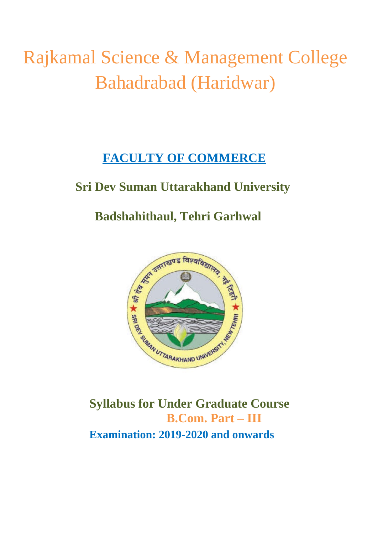# Rajkamal Science & Management College Bahadrabad (Haridwar)

# **FACULTY OF COMMERCE**

# **Sri Dev Suman Uttarakhand University**

# **Badshahithaul, Tehri Garhwal**



**Syllabus for Under Graduate Course B.Com. Part – III Examination: 2019-2020 and onwards**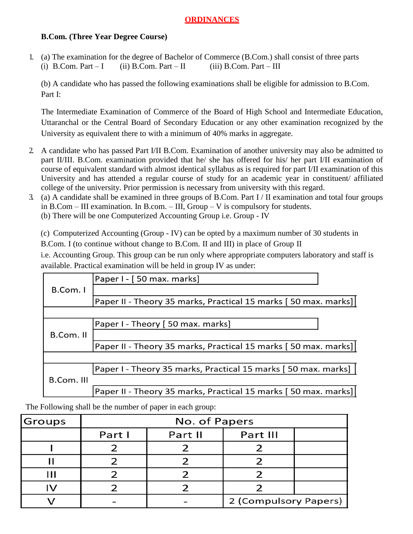#### **ORDINANCES**

#### **B.Com. (Three Year Degree Course)**

1. (a) The examination for the degree of Bachelor of Commerce (B.Com.) shall consist of three parts (i) B.Com. Part – I (ii) B.Com. Part – II (iii) B.Com. Part – III

(b) A candidate who has passed the following examinations shall be eligible for admission to B.Com. Part I:

The Intermediate Examination of Commerce of the Board of High School and Intermediate Education, Uttaranchal or the Central Board of Secondary Education or any other examination recognized by the University as equivalent there to with a minimum of 40% marks in aggregate.

- 2. A candidate who has passed Part I/II B.Com. Examination of another university may also be admitted to part II/III. B.Com. examination provided that he/ she has offered for his/ her part I/II examination of course of equivalent standard with almost identical syllabus as is required for part I/II examination of this University and has attended a regular course of study for an academic year in constituent/ affiliated college of the university. Prior permission is necessary from university with this regard.
- 3. (a) A candidate shall be examined in three groups of B.Com. Part I / II examination and total four groups in B.Com – III examination. In B.com. – III, Group – V is compulsory for students.

(b) There will be one Computerized Accounting Group i.e. Group - IV

(c) Computerized Accounting (Group - IV) can be opted by a maximum number of 30 students in B.Com. I (to continue without change to B.Com. II and III) in place of Group II

i.e. Accounting Group. This group can be run only where appropriate computers laboratory and staff is available. Practical examination will be held in group IV as under:

|            | Paper I - [50 max. marks]                                       |
|------------|-----------------------------------------------------------------|
| B.Com. I   |                                                                 |
|            | Paper II - Theory 35 marks, Practical 15 marks [50 max. marks]] |
|            |                                                                 |
|            | Paper I - Theory [ 50 max. marks]                               |
| B.Com. II  |                                                                 |
|            | Paper II - Theory 35 marks, Practical 15 marks [50 max. marks]] |
|            |                                                                 |
|            | Paper I - Theory 35 marks, Practical 15 marks [50 max. marks]   |
| B.Com. III |                                                                 |
|            | Paper II - Theory 35 marks, Practical 15 marks [50 max. marks]  |

The Following shall be the number of paper in each group:

| <b>Groups</b> | No. of Papers |         |                       |  |  |
|---------------|---------------|---------|-----------------------|--|--|
|               | Part I        | Part II | Part III              |  |  |
|               |               |         |                       |  |  |
|               |               |         |                       |  |  |
|               |               |         |                       |  |  |
|               |               |         |                       |  |  |
|               |               |         | 2 (Compulsory Papers) |  |  |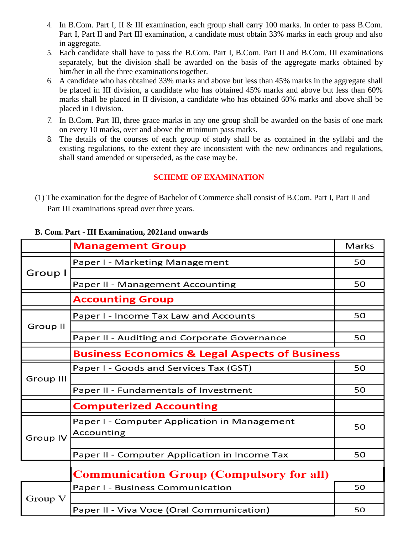- 4. In B.Com. Part I, II & III examination, each group shall carry 100 marks. In order to pass B.Com. Part I, Part II and Part III examination, a candidate must obtain 33% marks in each group and also in aggregate.
- 5. Each candidate shall have to pass the B.Com. Part I, B.Com. Part II and B.Com. III examinations separately, but the division shall be awarded on the basis of the aggregate marks obtained by him/her in all the three examinations together.
- 6. A candidate who has obtained 33% marks and above but less than 45% marks in the aggregate shall be placed in III division, a candidate who has obtained 45% marks and above but less than 60% marks shall be placed in II division, a candidate who has obtained 60% marks and above shall be placed in I division.
- 7. In B.Com. Part III, three grace marks in any one group shall be awarded on the basis of one mark on every 10 marks, over and above the minimum pass marks.
- 8. The details of the courses of each group of study shall be as contained in the syllabi and the existing regulations, to the extent they are inconsistent with the new ordinances and regulations, shall stand amended or superseded, as the case may be.

#### **SCHEME OF EXAMINATION**

(1) The examination for the degree of Bachelor of Commerce shall consist of B.Com. Part I, Part II and Part III examinations spread over three years.

|                  | <b>Management Group</b>                                   | <b>Marks</b> |  |  |
|------------------|-----------------------------------------------------------|--------------|--|--|
| Group I          | Paper I - Marketing Management                            | 50           |  |  |
|                  |                                                           |              |  |  |
|                  | Paper II - Management Accounting                          | 50           |  |  |
|                  | <b>Accounting Group</b>                                   |              |  |  |
| Group II         | Paper I - Income Tax Law and Accounts                     | 50           |  |  |
|                  |                                                           |              |  |  |
|                  | Paper II - Auditing and Corporate Governance              | 50           |  |  |
|                  | <b>Business Economics &amp; Legal Aspects of Business</b> |              |  |  |
| <b>Group III</b> | Paper I - Goods and Services Tax (GST)                    | 50           |  |  |
|                  |                                                           |              |  |  |
|                  | Paper II - Fundamentals of Investment                     | 50           |  |  |
|                  | <b>Computerized Accounting</b>                            |              |  |  |
| <b>Group IV</b>  | Paper I - Computer Application in Management              | 50           |  |  |
|                  | Accounting                                                |              |  |  |
|                  |                                                           |              |  |  |
|                  | Paper II - Computer Application in Income Tax             | 50           |  |  |
|                  | <b>Communication Group (Compulsory for all)</b>           |              |  |  |
| Group V          | Paper I - Business Communication                          | 50           |  |  |
|                  |                                                           |              |  |  |
|                  | Paper II - Viva Voce (Oral Communication)                 | 50           |  |  |

#### **B. Com. Part - III Examination, 2021and onwards**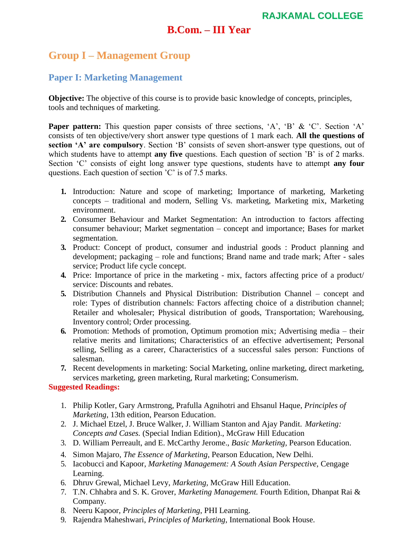### **B.Com. – III Year**

# **Group I – Management Group**

#### **Paper I: Marketing Management**

**Objective:** The objective of this course is to provide basic knowledge of concepts, principles, tools and techniques of marketing.

**Paper pattern:** This question paper consists of three sections, 'A', 'B' & 'C'. Section 'A' consists of ten objective/very short answer type questions of 1 mark each. **All the questions of section 'A' are compulsory**. Section 'B' consists of seven short-answer type questions, out of which students have to attempt **any five** questions. Each question of section 'B' is of 2 marks. Section 'C' consists of eight long answer type questions, students have to attempt **any four**  questions. Each question of section 'C' is of 7.5 marks.

- **1.** Introduction: Nature and scope of marketing; Importance of marketing, Marketing concepts – traditional and modern, Selling Vs. marketing, Marketing mix, Marketing environment.
- **2.** Consumer Behaviour and Market Segmentation: An introduction to factors affecting consumer behaviour; Market segmentation – concept and importance; Bases for market segmentation.
- **3.** Product: Concept of product, consumer and industrial goods : Product planning and development; packaging – role and functions; Brand name and trade mark; After - sales service; Product life cycle concept.
- **4.** Price: Importance of price in the marketing mix, factors affecting price of a product/ service: Discounts and rebates.
- **5.** Distribution Channels and Physical Distribution: Distribution Channel concept and role: Types of distribution channels: Factors affecting choice of a distribution channel; Retailer and wholesaler; Physical distribution of goods, Transportation; Warehousing, Inventory control; Order processing.
- **6.** Promotion: Methods of promotion, Optimum promotion mix; Advertising media their relative merits and limitations; Characteristics of an effective advertisement; Personal selling, Selling as a career, Characteristics of a successful sales person: Functions of salesman.
- **7.** Recent developments in marketing: Social Marketing, online marketing, direct marketing, services marketing, green marketing, Rural marketing; Consumerism.

#### **Suggested Readings:**

- 1. Philip Kotler, Gary Armstrong, Prafulla Agnihotri and Ehsanul Haque, *Principles of Marketing*, 13th edition, Pearson Education.
- 2. J. Michael Etzel, J. Bruce Walker, J. William Stanton and Ajay Pandit. *Marketing: Concepts and Cases.* (Special Indian Edition)., McGraw Hill Education
- 3. D. William Perreault, and E. McCarthy Jerome., *Basic Marketing,* Pearson Education.
- 4. Simon Majaro, *The Essence of Marketing*, Pearson Education, New Delhi.
- 5. Iacobucci and Kapoor, *Marketing Management: A South Asian Perspective,* Cengage Learning.
- 6. Dhruv Grewal, Michael Levy, *Marketing,* McGraw Hill Education.
- 7. T.N. Chhabra and S. K. Grover, *Marketing Management.* Fourth Edition, Dhanpat Rai & Company.
- 8. Neeru Kapoor, *Principles of Marketing*, PHI Learning.
- 9. Rajendra Maheshwari, *Principles of Marketing*, International Book House.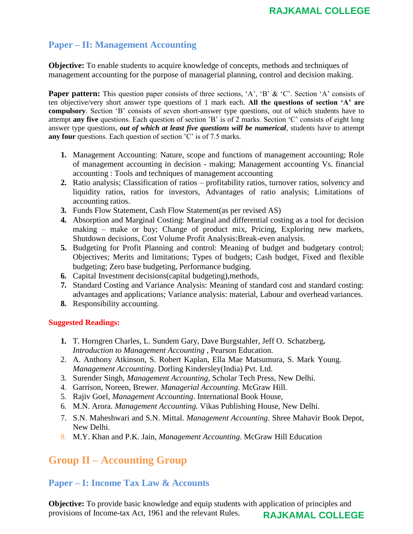#### **Paper – II: Management Accounting**

**Objective:** To enable students to acquire knowledge of concepts, methods and techniques of management accounting for the purpose of managerial planning, control and decision making.

**Paper pattern:** This question paper consists of three sections, 'A', 'B' & 'C'. Section 'A' consists of ten objective/very short answer type questions of 1 mark each. **All the questions of section 'A' are compulsory**. Section 'B' consists of seven short-answer type questions, out of which students have to attempt **any five** questions. Each question of section 'B' is of 2 marks. Section 'C' consists of eight long answer type questions, *out of which at least five questions will be numerical*, students have to attempt **any four** questions. Each question of section 'C' is of 7.5 marks.

- **1.** Management Accounting: Nature, scope and functions of management accounting; Role of management accounting in decision - making; Management accounting Vs. financial accounting : Tools and techniques of management accounting
- **2.** Ratio analysis; Classification of ratios profitability ratios, turnover ratios, solvency and liquidity ratios, ratios for investors, Advantages of ratio analysis; Limitations of accounting ratios.
- **3.** Funds Flow Statement, Cash Flow Statement(as per revised AS)
- **4.** Absorption and Marginal Costing: Marginal and differential costing as a tool for decision making – make or buy; Change of product mix, Pricing, Exploring new markets, Shutdown decisions, Cost Volume Profit Analysis:Break-even analysis.
- **5.** Budgeting for Profit Planning and control: Meaning of budget and budgetary control; Objectives; Merits and limitations; Types of budgets; Cash budget, Fixed and flexible budgeting; Zero base budgeting, Performance budging.
- **6.** Capital Investment decisions(capital budgeting),methods,
- **7.** Standard Costing and Variance Analysis: Meaning of standard cost and standard costing: advantages and applications; Variance analysis: material, Labour and overhead variances.
- **8.** Responsibility accounting.

#### **Suggested Readings:**

- **1.** T. Horngren Charles, L. Sundem Gary, Dave Burgstahler, Jeff O. Schatzberg**.** *Introduction to Management Accounting* , Pearson Education.
- 2. A. Anthony Atkinson, S. Robert Kaplan, Ella Mae Matsumura, S. Mark Young. *Management Accounting*. Dorling Kindersley(India) Pvt. Ltd.
- 3. Surender Singh, *Management Accounting,* Scholar Tech Press, New Delhi.
- 4. Garrison, Noreen, Brewer*. Managerial Accounting*. McGraw Hill.
- 5. Rajiv Goel, *Management Accounting*. International Book House,
- 6. M.N. Arora. *Management Accounting.* Vikas Publishing House, New Delhi.
- 7. S.N. Maheshwari and S.N. Mittal. *Management Accounting*. Shree Mahavir Book Depot, New Delhi.
- 8. M.Y. Khan and P.K. Jain, *Management Accounting*. McGraw Hill Education

## **Group II – Accounting Group**

#### **Paper – I: Income Tax Law & Accounts**

**Objective:** To provide basic knowledge and equip students with application of principles and provisions of Income-tax Act, 1961 and the relevant Rules. **RAJKAMAL COLLEGE**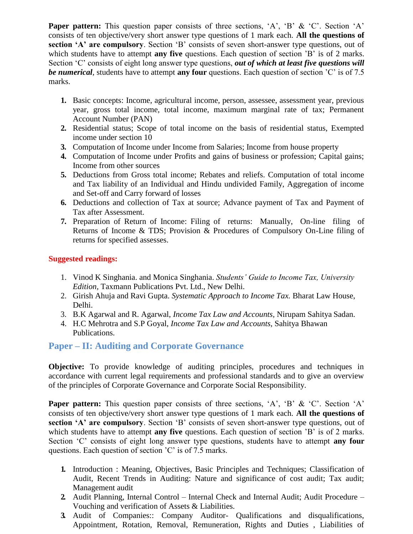**Paper pattern:** This question paper consists of three sections, 'A', 'B' & 'C'. Section 'A' consists of ten objective/very short answer type questions of 1 mark each. **All the questions of section 'A' are compulsory**. Section 'B' consists of seven short-answer type questions, out of which students have to attempt **any five** questions. Each question of section 'B' is of 2 marks. Section 'C' consists of eight long answer type questions, *out of which at least five questions will be numerical*, students have to attempt **any four** questions. Each question of section 'C' is of 7.5 marks.

- **1.** Basic concepts: Income, agricultural income, person, assessee, assessment year, previous year, gross total income, total income, maximum marginal rate of tax; Permanent Account Number (PAN)
- **2.** Residential status; Scope of total income on the basis of residential status, Exempted income under section 10
- **3.** Computation of Income under Income from Salaries; Income from house property
- **4.** Computation of Income under Profits and gains of business or profession; Capital gains; Income from other sources
- **5.** Deductions from Gross total income; Rebates and reliefs. Computation of total income and Tax liability of an Individual and Hindu undivided Family, Aggregation of income and Set-off and Carry forward of losses
- **6.** Deductions and collection of Tax at source; Advance payment of Tax and Payment of Tax after Assessment.
- **7.** Preparation of Return of Income: Filing of returns: Manually, On-line filing of Returns of Income & TDS; Provision & Procedures of Compulsory On-Line filing of returns for specified assesses.

#### **Suggested readings:**

- 1. Vinod K Singhania. and Monica Singhania. *Students' Guide to Income Tax, University Edition,* Taxmann Publications Pvt. Ltd., New Delhi.
- 2. Girish Ahuja and Ravi Gupta. *Systematic Approach to Income Tax.* Bharat Law House, Delhi.
- 3. B.K Agarwal and R. Agarwal, *Income Tax Law and Accounts,* Nirupam Sahitya Sadan.
- 4. H.C Mehrotra and S.P Goyal, *Income Tax Law and Accounts,* Sahitya Bhawan Publications.

#### **Paper – II: Auditing and Corporate Governance**

**Objective:** To provide knowledge of auditing principles, procedures and techniques in accordance with current legal requirements and professional standards and to give an overview of the principles of Corporate Governance and Corporate Social Responsibility.

**Paper pattern:** This question paper consists of three sections, 'A', 'B' & 'C'. Section 'A' consists of ten objective/very short answer type questions of 1 mark each. **All the questions of section 'A' are compulsory**. Section 'B' consists of seven short-answer type questions, out of which students have to attempt **any five** questions. Each question of section 'B' is of 2 marks. Section 'C' consists of eight long answer type questions, students have to attempt **any four**  questions. Each question of section 'C' is of 7.5 marks.

- **1.** Introduction : Meaning, Objectives, Basic Principles and Techniques; Classification of Audit, Recent Trends in Auditing: Nature and significance of cost audit; Tax audit; Management audit
- **2.** Audit Planning, Internal Control Internal Check and Internal Audit; Audit Procedure Vouching and verification of Assets & Liabilities.
- **3.** Audit of Companies:: Company Auditor- Qualifications and disqualifications, Appointment, Rotation, Removal, Remuneration, Rights and Duties , Liabilities of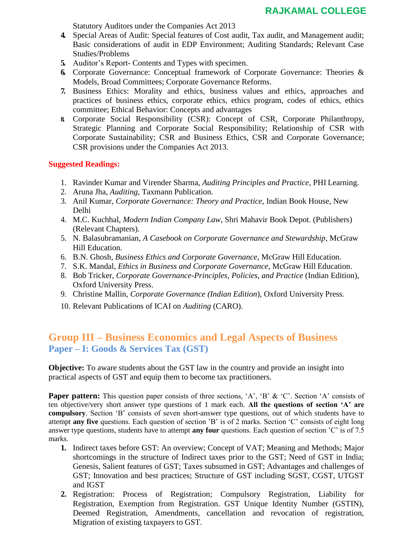Statutory Auditors under the Companies Act 2013

- **4.** Special Areas of Audit: Special features of Cost audit, Tax audit, and Management audit; Basic considerations of audit in EDP Environment; Auditing Standards; Relevant Case Studies/Problems
- **5.** Auditor's Report- Contents and Types with specimen.
- **6.** Corporate Governance: Conceptual framework of Corporate Governance: Theories & Models, Broad Committees; Corporate Governance Reforms.
- **7.** Business Ethics: Morality and ethics, business values and ethics, approaches and practices of business ethics, corporate ethics, ethics program, codes of ethics, ethics committee; Ethical Behavior: Concepts and advantages
- **8.** Corporate Social Responsibility (CSR): Concept of CSR, Corporate Philanthropy, Strategic Planning and Corporate Social Responsibility; Relationship of CSR with Corporate Sustainability; CSR and Business Ethics, CSR and Corporate Governance; CSR provisions under the Companies Act 2013.

#### **Suggested Readings:**

- 1. Ravinder Kumar and Virender Sharma, *Auditing Principles and Practice*, PHI Learning.
- 2. Aruna Jha, *Auditing*, Taxmann Publication.
- 3. Anil Kumar, *Corporate Governance: Theory and Practice*, Indian Book House, New Delhi
- 4. M.C. Kuchhal, *Modern Indian Company Law*, Shri Mahavir Book Depot. (Publishers) (Relevant Chapters).
- 5. N. Balasubramanian, *A Casebook on Corporate Governance and Stewardship*, McGraw Hill Education.
- 6. B.N. Ghosh, *Business Ethics and Corporate Governance*, McGraw Hill Education.
- 7. S.K. Mandal*, Ethics in Business and Corporate Governance*, McGraw Hill Education.
- 8. Bob Tricker, *Corporate Governance-Principles, Policies, and Practice* (Indian Edition), Oxford University Press.
- 9. Christine Mallin, *Corporate Governance (Indian Edition*), Oxford University Press.
- 10. Relevant Publications of ICAI on *Auditing* (CARO).

### **Group III – Business Economics and Legal Aspects of Business Paper – I: Goods & Services Tax (GST)**

**Objective:** To aware students about the GST law in the country and provide an insight into practical aspects of GST and equip them to become tax practitioners.

**Paper pattern:** This question paper consists of three sections, 'A', 'B' & 'C'. Section 'A' consists of ten objective/very short answer type questions of 1 mark each. **All the questions of section 'A' are compulsory**. Section 'B' consists of seven short-answer type questions, out of which students have to attempt **any five** questions. Each question of section 'B' is of 2 marks. Section 'C' consists of eight long answer type questions, students have to attempt **any four** questions. Each question of section 'C' is of 7.5 marks.

- **1.** Indirect taxes before GST: An overview; Concept of VAT; Meaning and Methods; Major shortcomings in the structure of Indirect taxes prior to the GST; Need of GST in India; Genesis, Salient features of GST; Taxes subsumed in GST; Advantages and challenges of GST; Innovation and best practices; Structure of GST including SGST, CGST, UTGST and IGST
- **2.** Registration: Process of Registration; Compulsory Registration, Liability for Registration, Exemption from Registration. GST Unique Identity Number (GSTIN), Deemed Registration, Amendments, cancellation and revocation of registration, Migration of existing taxpayers to GST.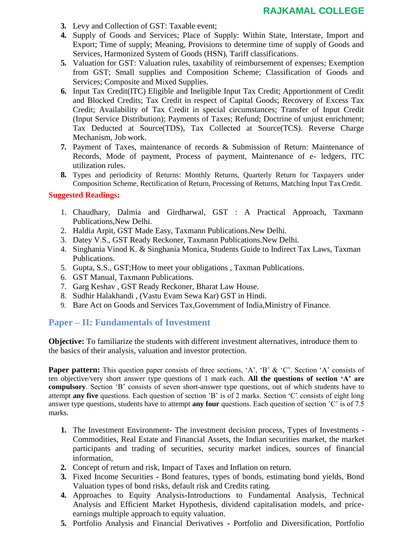- **3.** Levy and Collection of GST: Taxable event;
- **4.** Supply of Goods and Services; Place of Supply: Within State, Interstate, Import and Export; Time of supply; Meaning, Provisions to determine time of supply of Goods and Services, Harmonized System of Goods (HSN), Tariff classifications.
- **5.** Valuation for GST: Valuation rules, taxability of reimbursement of expenses; Exemption from GST; Small supplies and Composition Scheme; Classification of Goods and Services; Composite and Mixed Supplies.
- **6.** Input Tax Credit(ITC) Eligible and Ineligible Input Tax Credit; Apportionment of Credit and Blocked Credits; Tax Credit in respect of Capital Goods; Recovery of Excess Tax Credit; Availability of Tax Credit in special circumstances; Transfer of Input Credit (Input Service Distribution); Payments of Taxes; Refund; Doctrine of unjust enrichment; Tax Deducted at Source(TDS), Tax Collected at Source(TCS). Reverse Charge Mechanism, Job work.
- **7.** Payment of Taxes, maintenance of records & Submission of Return: Maintenance of Records, Mode of payment, Process of payment, Maintenance of e- ledgers, ITC utilization rules.
- **8.** Types and periodicity of Returns: Monthly Returns, Quarterly Return for Taxpayers under Composition Scheme, Rectification of Return, Processing of Returns, Matching Input TaxCredit.

#### **Suggested Readings:**

- 1. Chaudhary, Dalmia and Girdharwal, GST : A Practical Approach, Taxmann Publications,New Delhi.
- 2. Haldia Arpit, GST Made Easy, Taxmann Publications.New Delhi.
- 3. Datey V.S., GST Ready Reckoner, Taxmann Publications.New Delhi.
- 4. Singhania Vinod K. & Singhania Monica, Students Guide to Indirect Tax Laws, Taxman Publications.
- 5. Gupta, S.S., GST;How to meet your obligations , Taxman Publications.
- 6. GST Manual, Taxmann Publications.
- 7. Garg Keshav , GST Ready Reckoner, Bharat Law House.
- 8. Sudhir Halakhandi , (Vastu Evam Sewa Kar) GST in Hindi.
- 9. Bare Act on Goods and Services Tax,Government of India,Ministry of Finance.

#### **Paper – II: Fundamentals of Investment**

**Objective:** To familiarize the students with different investment alternatives, introduce them to the basics of their analysis, valuation and investor protection.

**Paper pattern:** This question paper consists of three sections, 'A', 'B' & 'C'. Section 'A' consists of ten objective/very short answer type questions of 1 mark each. **All the questions of section 'A' are compulsory**. Section 'B' consists of seven short-answer type questions, out of which students have to attempt **any five** questions. Each question of section 'B' is of 2 marks. Section 'C' consists of eight long answer type questions, students have to attempt **any four** questions. Each question of section 'C' is of 7.5 marks.

- **1.** The Investment Environment**-** The investment decision process, Types of Investments Commodities, Real Estate and Financial Assets, the Indian securities market, the market participants and trading of securities, security market indices, sources of financial information,
- **2.** Concept of return and risk, Impact of Taxes and Inflation on return.
- **3.** Fixed Income Securities **-** Bond features, types of bonds, estimating bond yields, Bond Valuation types of bond risks, default risk and Credits rating.
- **4.** Approaches to Equity Analysis**-**Introductions to Fundamental Analysis, Technical Analysis and Efficient Market Hypothesis, dividend capitalisation models, and priceearnings multiple approach to equity valuation.
- **5.** Portfolio Analysis and Financial Derivatives **-** Portfolio and Diversification, Portfolio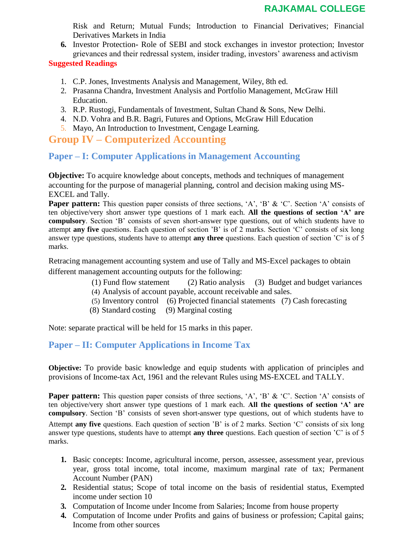Risk and Return; Mutual Funds; Introduction to Financial Derivatives; Financial Derivatives Markets in India

**6.** Investor Protection**-** Role of SEBI and stock exchanges in investor protection; Investor grievances and their redressal system, insider trading, investors' awareness and activism

#### **Suggested Readings**

- 1. C.P. Jones, Investments Analysis and Management, Wiley, 8th ed.
- 2. Prasanna Chandra, Investment Analysis and Portfolio Management, McGraw Hill Education.
- 3. R.P. Rustogi, Fundamentals of Investment, Sultan Chand & Sons, New Delhi.
- 4. N.D. Vohra and B.R. Bagri, Futures and Options, McGraw Hill Education
- 5. Mayo, An Introduction to Investment, Cengage Learning.

# **Group IV – Computerized Accounting**

#### **Paper – I: Computer Applications in Management Accounting**

**Objective:** To acquire knowledge about concepts, methods and techniques of management accounting for the purpose of managerial planning, control and decision making using MS-EXCEL and Tally.

**Paper pattern:** This question paper consists of three sections, 'A', 'B' & 'C'. Section 'A' consists of ten objective/very short answer type questions of 1 mark each. **All the questions of section 'A' are compulsory**. Section 'B' consists of seven short-answer type questions, out of which students have to attempt **any five** questions. Each question of section 'B' is of 2 marks. Section 'C' consists of six long answer type questions, students have to attempt **any three** questions. Each question of section 'C' is of 5 marks.

Retracing management accounting system and use of Tally and MS-Excel packages to obtain different management accounting outputs for the following:

- (1) Fund flow statement (2) Ratio analysis (3) Budget and budget variances
- (4) Analysis of account payable, account receivable and sales.
- (5) Inventory control (6) Projected financial statements (7) Cash forecasting
- (8) Standard costing (9) Marginal costing

Note: separate practical will be held for 15 marks in this paper.

### **Paper – II: Computer Applications in Income Tax**

**Objective:** To provide basic knowledge and equip students with application of principles and provisions of Income-tax Act, 1961 and the relevant Rules using MS-EXCEL and TALLY.

**Paper pattern:** This question paper consists of three sections, 'A', 'B' & 'C'. Section 'A' consists of ten objective/very short answer type questions of 1 mark each. **All the questions of section 'A' are compulsory**. Section 'B' consists of seven short-answer type questions, out of which students have to Attempt **any five** questions. Each question of section 'B' is of 2 marks. Section 'C' consists of six long answer type questions, students have to attempt **any three** questions. Each question of section 'C' is of 5 marks.

- **1.** Basic concepts: Income, agricultural income, person, assessee, assessment year, previous year, gross total income, total income, maximum marginal rate of tax; Permanent Account Number (PAN)
- **2.** Residential status; Scope of total income on the basis of residential status, Exempted income under section 10
- **3.** Computation of Income under Income from Salaries; Income from house property
- **4.** Computation of Income under Profits and gains of business or profession; Capital gains; Income from other sources